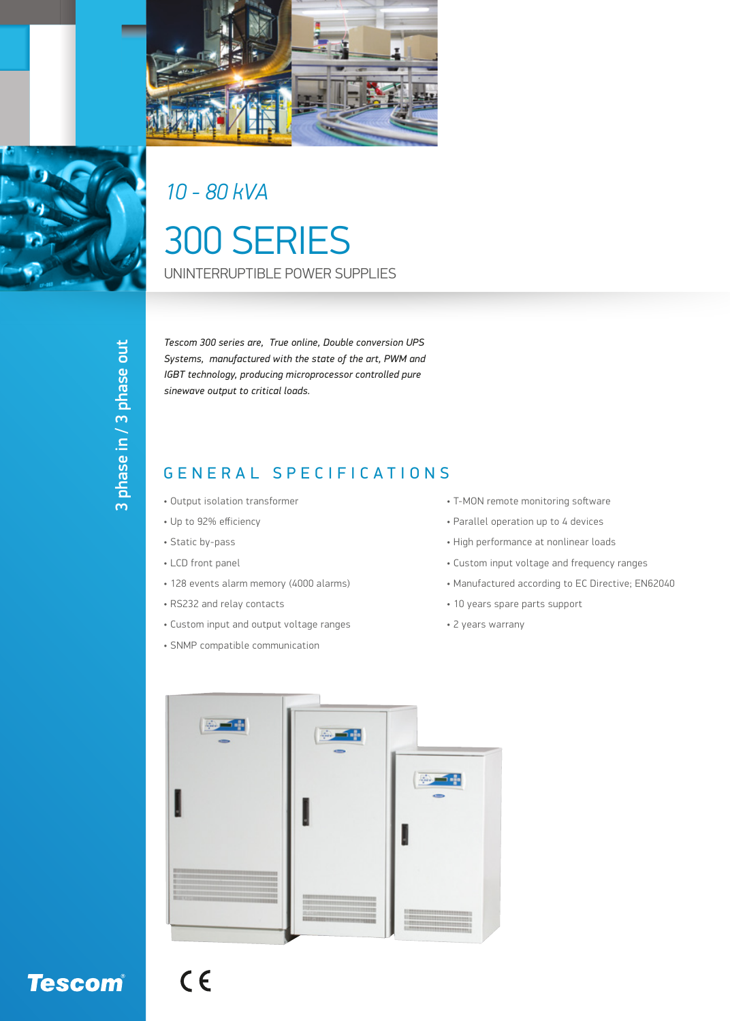



## *10 - 80 kVA*

# 300 SERIES UNINTERRUPTIBLE POWER SUPPLIES

3 phase in / 3 phase out 3 phase in / 3 phase out

*Tescom 300 series are, True online, Double conversion UPS Systems, manufactured with the state of the art, PWM and IGBT technology, producing microprocessor controlled pure sinewave output to critical loads.*

#### GENERAL SPECIFICATIONS

- Output isolation transformer
- Up to 92% efficiency
- Static by-pass
- LCD front panel
- 128 events alarm memory (4000 alarms)
- RS232 and relay contacts
- Custom input and output voltage ranges
- SNMP compatible communication
- T-MON remote monitoring software
- Parallel operation up to 4 devices
- High performance at nonlinear loads
- Custom input voltage and frequency ranges
- Manufactured according to EC Directive; EN62040
- 10 years spare parts support
- 2 years warrany



## **Tescom®**

 $C<sub>6</sub>$